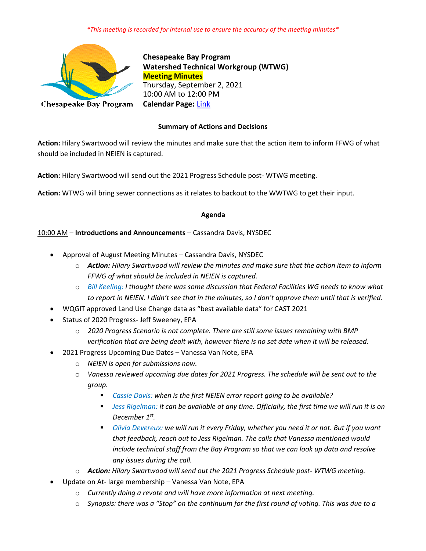

**Chesapeake Bay Program Watershed Technical Workgroup (WTWG) Meeting Minutes** Thursday, September 2, 2021 10:00 AM to 12:00 PM **Chesapeake Bay Program** Calendar Page: **[Link](https://www.chesapeakebay.net/what/event/watershed_technical_workgroup_conference_call_september_2021)** 

#### **Summary of Actions and Decisions**

**Action:** Hilary Swartwood will review the minutes and make sure that the action item to inform FFWG of what should be included in NEIEN is captured.

**Action:** Hilary Swartwood will send out the 2021 Progress Schedule post- WTWG meeting.

**Action:** WTWG will bring sewer connections as it relates to backout to the WWTWG to get their input.

### **Agenda**

### 10:00 AM – **Introductions and Announcements** – Cassandra Davis, NYSDEC

- Approval of August Meeting Minutes Cassandra Davis, NYSDEC
	- o *Action: Hilary Swartwood will review the minutes and make sure that the action item to inform FFWG of what should be included in NEIEN is captured.*
	- o *Bill Keeling: I thought there was some discussion that Federal Facilities WG needs to know what to report in NEIEN. I didn't see that in the minutes, so I don't approve them until that is verified.*
- WQGIT approved Land Use Change data as "best available data" for CAST 2021
- Status of 2020 Progress- Jeff Sweeney, EPA
	- o *2020 Progress Scenario is not complete. There are still some issues remaining with BMP verification that are being dealt with, however there is no set date when it will be released.*
- 2021 Progress Upcoming Due Dates Vanessa Van Note, EPA
	- o *NEIEN is open for submissions now.*
	- o *Vanessa reviewed upcoming due dates for 2021 Progress. The schedule will be sent out to the group.*
		- *Cassie Davis: when is the first NEIEN error report going to be available?*
		- Jess Rigelman: it can be available at any time. Officially, the first time we will run it is on *December 1st .*
		- **EXPLO** *Divia Devereux:* we will run it every Friday, whether you need it or not. But if you want *that feedback, reach out to Jess Rigelman. The calls that Vanessa mentioned would include technical staff from the Bay Program so that we can look up data and resolve any issues during the call.*
	- o *Action: Hilary Swartwood will send out the 2021 Progress Schedule post- WTWG meeting.*
- Update on At- large membership Vanessa Van Note, EPA
	- o *Currently doing a revote and will have more information at next meeting.*
	- o *Synopsis: there was a "Stop" on the continuum for the first round of voting. This was due to a*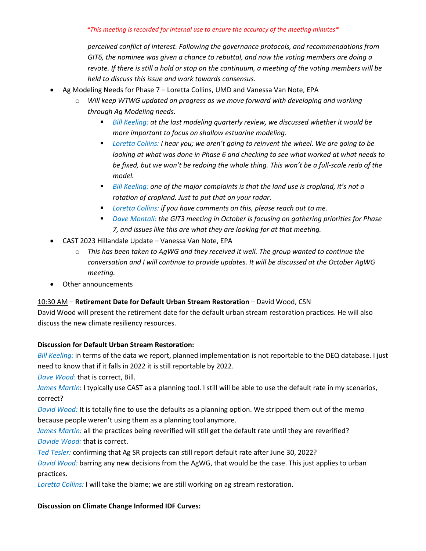*perceived conflict of interest. Following the governance protocols, and recommendations from GIT6, the nominee was given a chance to rebuttal, and now the voting members are doing a revote. If there is still a hold or stop on the continuum, a meeting of the voting members will be held to discuss this issue and work towards consensus.* 

- Ag Modeling Needs for Phase 7 Loretta Collins, UMD and Vanessa Van Note, EPA
	- o *Will keep WTWG updated on progress as we move forward with developing and working through Ag Modeling needs.* 
		- *Bill Keeling: at the last modeling quarterly review, we discussed whether it would be more important to focus on shallow estuarine modeling.*
		- Loretta Collins: I hear you; we aren't going to reinvent the wheel. We are going to be *looking at what was done in Phase 6 and checking to see what worked at what needs to*  be fixed, but we won't be redoing the whole thing. This won't be a full-scale redo of the *model.*
		- *Bill Keeling: one of the major complaints is that the land use is cropland, it's not a rotation of cropland. Just to put that on your radar.*
		- *Loretta Collins: if you have comments on this, please reach out to me.*
		- *Dave Montali: the GIT3 meeting in October is focusing on gathering priorities for Phase 7, and issues like this are what they are looking for at that meeting.*
- CAST 2023 Hillandale Update Vanessa Van Note, EPA
	- o *This has been taken to AgWG and they received it well. The group wanted to continue the conversation and I will continue to provide updates. It will be discussed at the October AgWG meeting.*
- Other announcements

# 10:30 AM – **Retirement Date for Default Urban Stream Restoration** – David Wood, CSN

David Wood will present the retirement date for the default urban stream restoration practices. He will also discuss the new climate resiliency resources.

# **Discussion for Default Urban Stream Restoration:**

*Bill Keeling:* in terms of the data we report, planned implementation is not reportable to the DEQ database. I just need to know that if it falls in 2022 it is still reportable by 2022.

*Dave Wood:* that is correct, Bill.

*James Martin*: I typically use CAST as a planning tool. I still will be able to use the default rate in my scenarios, correct?

*David Wood:* It is totally fine to use the defaults as a planning option. We stripped them out of the memo because people weren't using them as a planning tool anymore.

*James Martin:* all the practices being reverified will still get the default rate until they are reverified? *Davide Wood:* that is correct.

*Ted Tesler:* confirming that Ag SR projects can still report default rate after June 30, 2022?

*David Wood:* barring any new decisions from the AgWG, that would be the case. This just applies to urban practices.

*Loretta Collins:* I will take the blame; we are still working on ag stream restoration.

# **Discussion on Climate Change Informed IDF Curves:**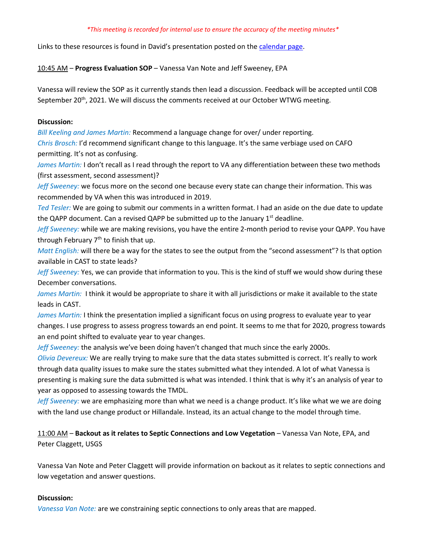Links to these resources is found in David's presentation posted on th[e calendar page.](https://www.chesapeakebay.net/what/event/watershed_technical_workgroup_conference_call_september_2021)

## 10:45 AM – **Progress Evaluation SOP** – Vanessa Van Note and Jeff Sweeney, EPA

Vanessa will review the SOP as it currently stands then lead a discussion. Feedback will be accepted until COB September 20<sup>th</sup>, 2021. We will discuss the comments received at our October WTWG meeting.

### **Discussion:**

*Bill Keeling and James Martin:* Recommend a language change for over/ under reporting.

*Chris Brosch:* I'd recommend significant change to this language. It's the same verbiage used on CAFO permitting. It's not as confusing.

*James Martin:* I don't recall as I read through the report to VA any differentiation between these two methods (first assessment, second assessment)?

*Jeff Sweeney:* we focus more on the second one because every state can change their information. This was recommended by VA when this was introduced in 2019.

*Ted Tesler:* We are going to submit our comments in a written format. I had an aside on the due date to update the QAPP document. Can a revised QAPP be submitted up to the January  $1<sup>st</sup>$  deadline.

*Jeff Sweeney:* while we are making revisions, you have the entire 2-month period to revise your QAPP. You have through February  $7<sup>th</sup>$  to finish that up.

*Matt English:* will there be a way for the states to see the output from the "second assessment"? Is that option available in CAST to state leads?

*Jeff Sweeney:* Yes, we can provide that information to you. This is the kind of stuff we would show during these December conversations.

*James Martin:* I think it would be appropriate to share it with all jurisdictions or make it available to the state leads in CAST.

*James Martin:* I think the presentation implied a significant focus on using progress to evaluate year to year changes. I use progress to assess progress towards an end point. It seems to me that for 2020, progress towards an end point shifted to evaluate year to year changes.

*Jeff Sweeney:* the analysis we've been doing haven't changed that much since the early 2000s.

*Olivia Devereux:* We are really trying to make sure that the data states submitted is correct. It's really to work through data quality issues to make sure the states submitted what they intended. A lot of what Vanessa is presenting is making sure the data submitted is what was intended. I think that is why it's an analysis of year to year as opposed to assessing towards the TMDL.

*Jeff Sweeney:* we are emphasizing more than what we need is a change product. It's like what we we are doing with the land use change product or Hillandale. Instead, its an actual change to the model through time.

11:00 AM – **Backout as it relates to Septic Connections and Low Vegetation** – Vanessa Van Note, EPA, and Peter Claggett, USGS

Vanessa Van Note and Peter Claggett will provide information on backout as it relates to septic connections and low vegetation and answer questions.

# **Discussion:**

*Vanessa Van Note:* are we constraining septic connections to only areas that are mapped.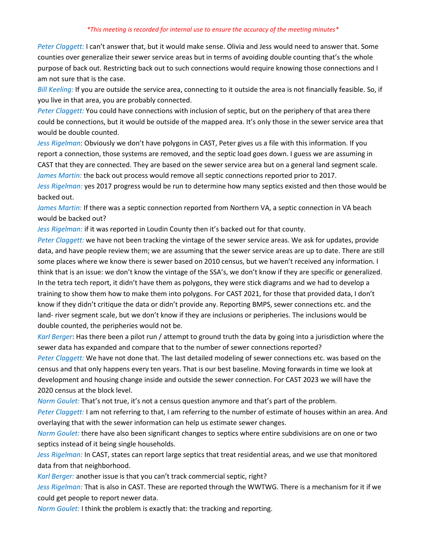*Peter Claggett:* I can't answer that, but it would make sense. Olivia and Jess would need to answer that. Some counties over generalize their sewer service areas but in terms of avoiding double counting that's the whole purpose of back out. Restricting back out to such connections would require knowing those connections and I am not sure that is the case.

*Bill Keeling:* If you are outside the service area, connecting to it outside the area is not financially feasible. So, if you live in that area, you are probably connected.

*Peter Claggett:* You could have connections with inclusion of septic, but on the periphery of that area there could be connections, but it would be outside of the mapped area. It's only those in the sewer service area that would be double counted.

*Jess Rigelman*: Obviously we don't have polygons in CAST, Peter gives us a file with this information. If you report a connection, those systems are removed, and the septic load goes down. I guess we are assuming in CAST that they are connected. They are based on the sewer service area but on a general land segment scale. *James Martin:* the back out process would remove all septic connections reported prior to 2017.

*Jess Rigelman:* yes 2017 progress would be run to determine how many septics existed and then those would be backed out.

*James Martin:* If there was a septic connection reported from Northern VA, a septic connection in VA beach would be backed out?

*Jess Rigelman:* if it was reported in Loudin County then it's backed out for that county.

*Peter Claggett:* we have not been tracking the vintage of the sewer service areas. We ask for updates, provide data, and have people review them; we are assuming that the sewer service areas are up to date. There are still some places where we know there is sewer based on 2010 census, but we haven't received any information. I think that is an issue: we don't know the vintage of the SSA's, we don't know if they are specific or generalized. In the tetra tech report, it didn't have them as polygons, they were stick diagrams and we had to develop a training to show them how to make them into polygons. For CAST 2021, for those that provided data, I don't know if they didn't critique the data or didn't provide any. Reporting BMPS, sewer connections etc. and the land- river segment scale, but we don't know if they are inclusions or peripheries. The inclusions would be double counted, the peripheries would not be.

*Karl Berger*: Has there been a pilot run / attempt to ground truth the data by going into a jurisdiction where the sewer data has expanded and compare that to the number of sewer connections reported?

*Peter Claggett:* We have not done that. The last detailed modeling of sewer connections etc. was based on the census and that only happens every ten years. That is our best baseline. Moving forwards in time we look at development and housing change inside and outside the sewer connection. For CAST 2023 we will have the 2020 census at the block level.

*Norm Goulet:* That's not true, it's not a census question anymore and that's part of the problem.

*Peter Claggett:* I am not referring to that, I am referring to the number of estimate of houses within an area. And overlaying that with the sewer information can help us estimate sewer changes.

*Norm Goulet:* there have also been significant changes to septics where entire subdivisions are on one or two septics instead of it being single households.

*Jess Rigelman:* In CAST, states can report large septics that treat residential areas, and we use that monitored data from that neighborhood.

*Karl Berger:* another issue is that you can't track commercial septic, right?

*Jess Rigelman:* That is also in CAST. These are reported through the WWTWG. There is a mechanism for it if we could get people to report newer data.

*Norm Goulet:* I think the problem is exactly that: the tracking and reporting.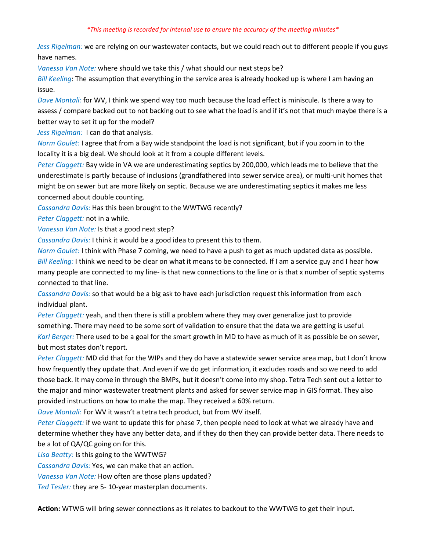*Jess Rigelman:* we are relying on our wastewater contacts, but we could reach out to different people if you guys have names.

*Vanessa Van Note:* where should we take this / what should our next steps be?

*Bill Keeling*: The assumption that everything in the service area is already hooked up is where I am having an issue.

*Dave Montali:* for WV, I think we spend way too much because the load effect is miniscule. Is there a way to assess / compare backed out to not backing out to see what the load is and if it's not that much maybe there is a better way to set it up for the model?

*Jess Rigelman:* I can do that analysis.

*Norm Goulet:* I agree that from a Bay wide standpoint the load is not significant, but if you zoom in to the locality it is a big deal. We should look at it from a couple different levels.

*Peter Claggett:* Bay wide in VA we are underestimating septics by 200,000, which leads me to believe that the underestimate is partly because of inclusions (grandfathered into sewer service area), or multi-unit homes that might be on sewer but are more likely on septic. Because we are underestimating septics it makes me less concerned about double counting.

*Cassandra Davis:* Has this been brought to the WWTWG recently?

*Peter Claggett:* not in a while.

*Vanessa Van Note:* Is that a good next step?

*Cassandra Davis:* I think it would be a good idea to present this to them.

*Norm Goulet:* I think with Phase 7 coming, we need to have a push to get as much updated data as possible. *Bill Keeling:* I think we need to be clear on what it means to be connected. If I am a service guy and I hear how many people are connected to my line- is that new connections to the line or is that x number of septic systems connected to that line.

*Cassandra Davis:* so that would be a big ask to have each jurisdiction request this information from each individual plant.

*Peter Claggett:* yeah, and then there is still a problem where they may over generalize just to provide something. There may need to be some sort of validation to ensure that the data we are getting is useful. *Karl Berger:* There used to be a goal for the smart growth in MD to have as much of it as possible be on sewer, but most states don't report.

*Peter Claggett:* MD did that for the WIPs and they do have a statewide sewer service area map, but I don't know how frequently they update that. And even if we do get information, it excludes roads and so we need to add those back. It may come in through the BMPs, but it doesn't come into my shop. Tetra Tech sent out a letter to the major and minor wastewater treatment plants and asked for sewer service map in GIS format. They also provided instructions on how to make the map. They received a 60% return.

*Dave Montali:* For WV it wasn't a tetra tech product, but from WV itself.

*Peter Claggett:* if we want to update this for phase 7, then people need to look at what we already have and determine whether they have any better data, and if they do then they can provide better data. There needs to be a lot of QA/QC going on for this.

*Lisa Beatty:* Is this going to the WWTWG?

*Cassandra Davis:* Yes, we can make that an action.

*Vanessa Van Note:* How often are those plans updated?

*Ted Tesler:* they are 5- 10-year masterplan documents.

**Action:** WTWG will bring sewer connections as it relates to backout to the WWTWG to get their input.